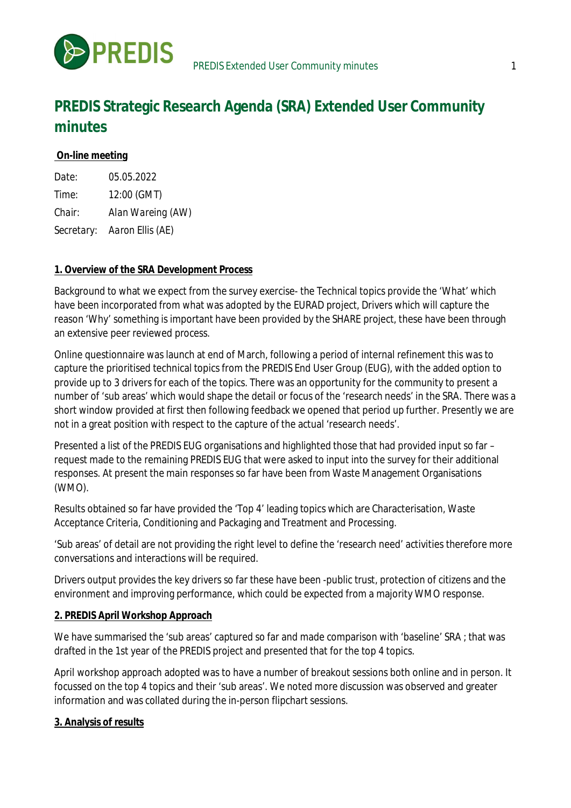

# **PREDIS Strategic Research Agenda (SRA) Extended User Community minutes**

## **On-line meeting**

| <i>Date:</i> | 05.05.2022                  |
|--------------|-----------------------------|
| Time:        | 12:00 (GMT)                 |
| Chair:       | Alan Wareing (AW)           |
|              | Secretary: Aaron Ellis (AE) |

### **1. Overview of the SRA Development Process**

Background to what we expect from the survey exercise- the Technical topics provide the 'What' which have been incorporated from what was adopted by the EURAD project, Drivers which will capture the reason 'Why' something is important have been provided by the SHARE project, these have been through an extensive peer reviewed process.

Online questionnaire was launch at end of March, following a period of internal refinement this was to capture the prioritised technical topics from the PREDIS End User Group (EUG), with the added option to provide up to 3 drivers for each of the topics. There was an opportunity for the community to present a number of 'sub areas' which would shape the detail or focus of the 'research needs' in the SRA. There was a short window provided at first then following feedback we opened that period up further. Presently we are not in a great position with respect to the capture of the actual 'research needs'.

Presented a list of the PREDIS EUG organisations and highlighted those that had provided input so far – request made to the remaining PREDIS EUG that were asked to input into the survey for their additional responses. At present the main responses so far have been from Waste Management Organisations (WMO).

Results obtained so far have provided the 'Top 4' leading topics which are Characterisation, Waste Acceptance Criteria, Conditioning and Packaging and Treatment and Processing.

'Sub areas' of detail are not providing the right level to define the 'research need' activities therefore more conversations and interactions will be required.

Drivers output provides the key drivers so far these have been -public trust, protection of citizens and the environment and improving performance, which could be expected from a majority WMO response.

#### **2. PREDIS April Workshop Approach**

We have summarised the 'sub areas' captured so far and made comparison with 'baseline' SRA ; that was drafted in the 1st year of the PREDIS project and presented that for the top 4 topics.

April workshop approach adopted was to have a number of breakout sessions both online and in person. It focussed on the top 4 topics and their 'sub areas'. We noted more discussion was observed and greater information and was collated during the in-person flipchart sessions.

### **3. Analysis of results**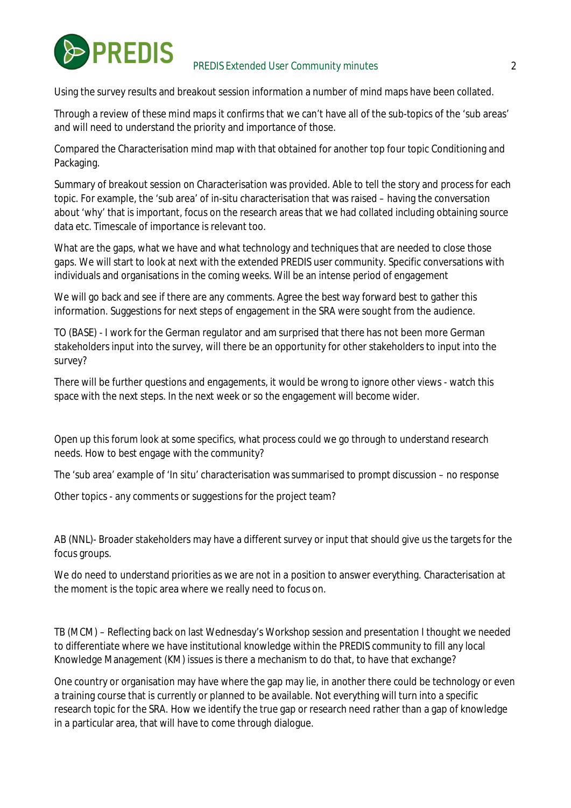

Using the survey results and breakout session information a number of mind maps have been collated.

Through a review of these mind maps it confirms that we can't have all of the sub-topics of the 'sub areas' and will need to understand the priority and importance of those.

Compared the Characterisation mind map with that obtained for another top four topic Conditioning and Packaging.

Summary of breakout session on Characterisation was provided. Able to tell the story and process for each topic. For example, the 'sub area' of in-situ characterisation that was raised – having the conversation about 'why' that is important, focus on the research areas that we had collated including obtaining source data etc. Timescale of importance is relevant too.

What are the gaps, what we have and what technology and techniques that are needed to close those gaps. We will start to look at next with the extended PREDIS user community. Specific conversations with individuals and organisations in the coming weeks. Will be an intense period of engagement

We will go back and see if there are any comments. Agree the best way forward best to gather this information. Suggestions for next steps of engagement in the SRA were sought from the audience.

TO (BASE) - I work for the German regulator and am surprised that there has not been more German stakeholders input into the survey, will there be an opportunity for other stakeholders to input into the survey?

There will be further questions and engagements, it would be wrong to ignore other views - watch this space with the next steps. In the next week or so the engagement will become wider.

Open up this forum look at some specifics, what process could we go through to understand research needs. How to best engage with the community?

The 'sub area' example of 'In situ' characterisation was summarised to prompt discussion – no response

Other topics - any comments or suggestions for the project team?

AB (NNL)- Broader stakeholders may have a different survey or input that should give us the targets for the focus groups.

We do need to understand priorities as we are not in a position to answer everything. Characterisation at the moment is the topic area where we really need to focus on.

TB (MCM) – Reflecting back on last Wednesday's Workshop session and presentation I thought we needed to differentiate where we have institutional knowledge within the PREDIS community to fill any local Knowledge Management (KM) issues is there a mechanism to do that, to have that exchange?

One country or organisation may have where the gap may lie, in another there could be technology or even a training course that is currently or planned to be available. Not everything will turn into a specific research topic for the SRA. How we identify the true gap or research need rather than a gap of knowledge in a particular area, that will have to come through dialogue.